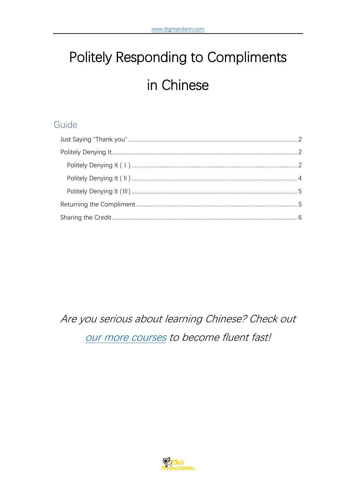# Politely Responding to Compliments in Chinese

# Guide

Are you serious about learning Chinese? Check out our more courses to become fluent fast!

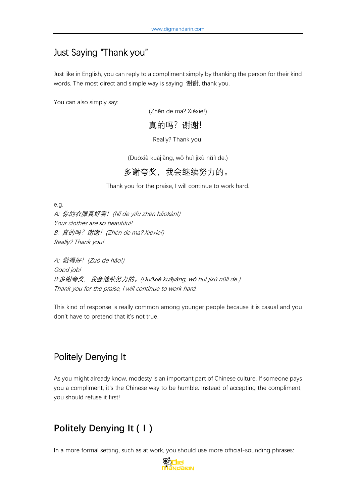## <span id="page-1-0"></span>Just Saying "Thank you"

Just like in English, you can reply to a compliment simply by thanking the person for their kind words. The most direct and simple way is saying 谢谢, thank you.

You can also simply say:

(Zhēn de ma? Xièxie!)

#### 真的吗? 谢谢!

Really? Thank you!

(Duōxiè kuājiǎng, wǒ huì jìxù nǔlì de.)

#### 多谢夸奖,我会继续努力的。

Thank you for the praise, I will continue to work hard.

e.g. A: 你的衣服真好看!(Nǐ de yīfu zhēn hǎokàn!) Your clothes are so beautiful! B: 真的吗? 谢谢! (Zhēn de ma? Xièxie!) Really? Thank you!

A: 做得好!(Zuò de hǎo!) Good job! B:多谢夸奖,我会继续努力的。(Duōxiè kuājiǎng, wǒ huì jìxù nǔlì de.) Thank you for the praise, I will continue to work hard.

This kind of response is really common among younger people because it is casual and you don't have to pretend that it's not true.

# <span id="page-1-1"></span>Politely Denying It

As you might already know, modesty is an important part of Chinese culture. If someone pays you a compliment, it's the Chinese way to be humble. Instead of accepting the compliment, you should refuse it first!

# <span id="page-1-2"></span>**Politely Denying It (Ⅰ)**

In a more formal setting, such as at work, you should use more official-sounding phrases:

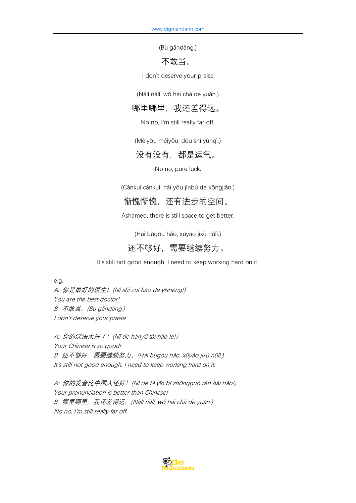(Bù gǎndāng.)

#### 不敢当。

I don't deserve your praise

(Nǎlǐ nǎlǐ, wǒ hái chà de yuǎn.)

#### 哪里哪里,我还差得远。

No no, I'm still really far off.

(Méiyǒu méiyǒu, dōu shì yùnqì.)

#### 没有没有,都是运气。

No no, pure luck.

(Cánkuì cánkuì, hái yǒu jìnbù de kōngjiān.)

#### 惭愧惭愧,还有进步的空间。

Ashamed, there is still space to get better.

(Hái bùgòu hǎo, xūyào jìxù nǔlì.)

## 还不够好,需要继续努力。

It's still not good enough. I need to keep working hard on it.

e.g.

A: 你是最好的医生!(Nǐ shì zuì hǎo de yīshēng!) You are the best doctor! B: 不敢当。(Bù gǎndāng.) I don't deserve your praise

A: 你的汉语太好了!(Nǐ de hànyǔ tài hǎo le!) Your Chinese is so good! B: 还不够好, 需要继续努力。(Hái bùgòu hǎo, xūyào jìxù nǔlì.) It's still not good enough. I need to keep working hard on it.

A: 你的发音比中国人还好!(Nǐ de fǎ yīn bǐ zhōngguó rén hái hǎo!) Your pronunciation is better than Chinese! B: 哪里哪里, 我还差得远。(Nǎlǐ nǎlǐ, wǒ hái chà de yuǎn.) No no, I'm still really far off.

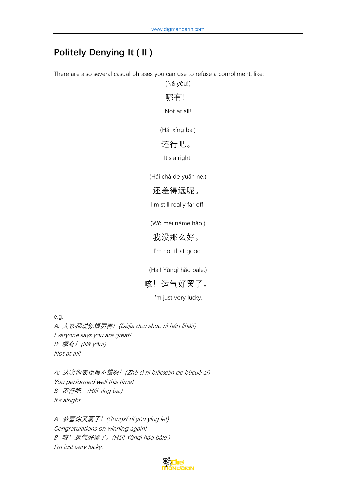# <span id="page-3-0"></span>**Politely Denying It (Ⅱ)**

There are also several casual phrases you can use to refuse a compliment, like: (Nǎ yǒu!)

哪有!

Not at all!

(Hái xíng ba.)

#### 还行吧。

It's alright.

(Hái chà de yuǎn ne.)

### 还差得远呢。

I'm still really far off.

(Wǒ méi nàme hǎo.)

#### 我没那么好。

I'm not that good.

(Hāi! Yùnqì hǎo bàle.)

## 咳!运气好罢了。

I'm just very lucky.

e.g.

A: 大家都说你很厉害!(Dàjiā dōu shuō nǐ hěn lìhài!) Everyone says you are great! B: 哪有! (Nǎ yǒu!) Not at all!

A: 这次你表现得不错啊!(Zhè cì nǐ biǎoxiàn de bùcuò a!) You performed well this time! B: 还行吧。(Hái xíng ba.) It's alright.

A: 恭喜你又赢了! (Gōngxǐ nǐ yòu yíng le!) Congratulations on winning again! B: 咳!运气好罢了。(Hāi! Yùnqì hǎo bàle.) I'm just very lucky.

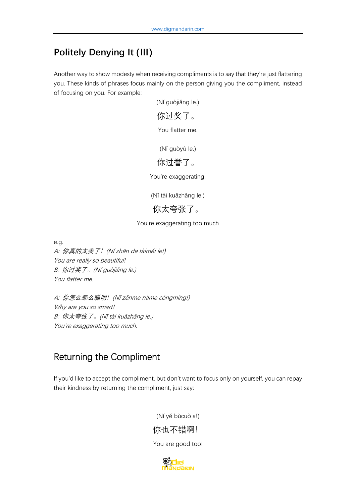# <span id="page-4-0"></span>**Politely Denying It (Ⅲ)**

Another way to show modesty when receiving compliments is to say that they're just flattering you. These kinds of phrases focus mainly on the person giving you the compliment, instead of focusing on you. For example:

(Nǐ guòjiǎng le.)

你过奖了。

You flatter me.

(Nǐ guòyù le.)

## 你过誉了。

You're exaggerating.

(Nǐ tài kuāzhāng le.)

你太夸张了。

You're exaggerating too much

e.g.

A: 你真的太美了! (Nǐ zhēn de tàiměi le!) You are really so beautiful! B: 你过奖了。(Nǐ guòjiǎng le.) You flatter me.

A: 你怎么那么聪明!(Nǐ zěnme nàme cōngmíng!) Why are you so smart! B: 你太夸张了。(Nǐ tài kuāzhāng le.) You're exaggerating too much.

# <span id="page-4-1"></span>Returning the Compliment

If you'd like to accept the compliment, but don't want to focus only on yourself, you can repay their kindness by returning the compliment, just say:

> (Nǐ yě bùcuò a!) 你也不错啊! You are good too!

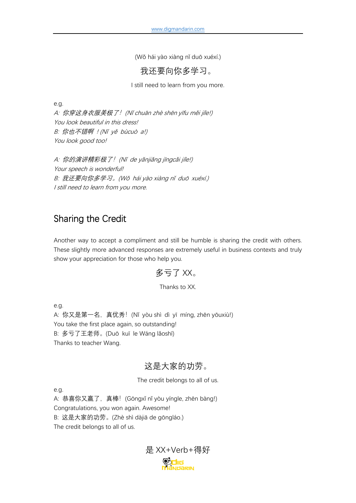(Wǒ hái yào xiàng nǐ duō xuéxí.)

我还要向你多学习。

I still need to learn from you more.

e.g.

A: 你穿这身衣服美极了!(Nǐ chuān zhè shēn yīfu měi jíle!) You look beautiful in this dress! B: 你也不错啊 ! (N<sup>ǐ</sup> <sup>y</sup>ě <sup>b</sup>ùcuò a!) You look good too!

A: 你的演讲精彩极了! (Nǐ de yǎnjiǎng jīngcǎi jíle!) Your speech is wonderful! B: 我还要向你多学习。(Wǒ <sup>h</sup>ái yào xiàng n<sup>ǐ</sup> du<sup>ō</sup> xuéxí.) I still need to learn from you more.

## <span id="page-5-0"></span>Sharing the Credit

Another way to accept a compliment and still be humble is sharing the credit with others. These slightly more advanced responses are extremely useful in business contexts and truly show your appreciation for those who help you.

### 多亏了 XX。

#### Thanks to XX.

e.g.

A: 你又是第一名, 真优秀! (Nǐ yòu shì dì yī míng, zhēn yōuxiù!) You take the first place again, so outstanding! B: 多亏了王老师。(Duō kuī le Wáng lǎoshī) Thanks to teacher Wang.

## 这是大家的功劳。

The credit belongs to all of us.

e.g.

A: 恭喜你又赢了, 真棒! (Gōngxǐ nǐ yòu yíngle, zhēn bàng!) Congratulations, you won again. Awesome! B: 这是大家的功劳。(Zhè shì dàjiā de gōngláo.) The credit belongs to all of us.